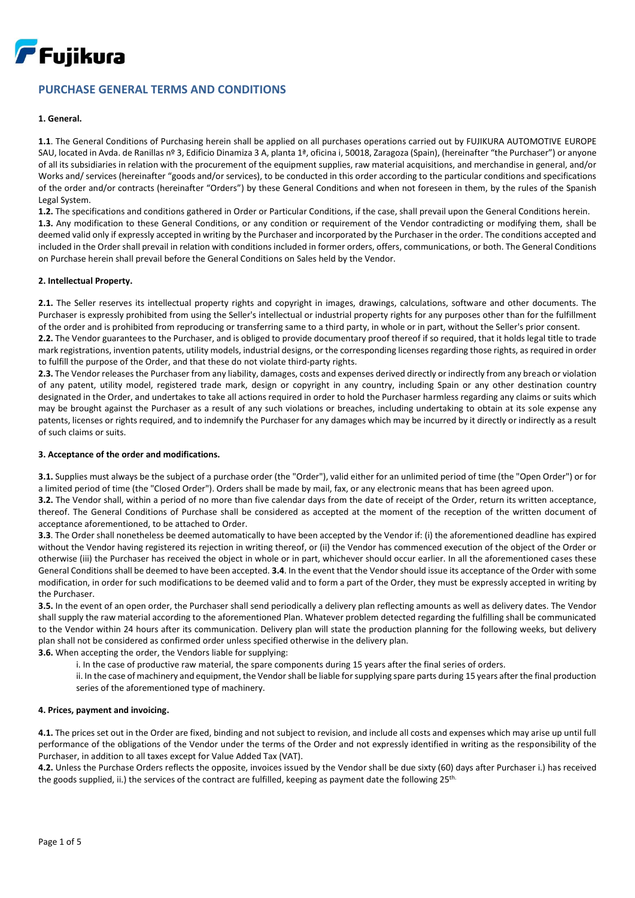

# **PURCHASE GENERAL TERMS AND CONDITIONS**

# **1. General.**

**1.1**. The General Conditions of Purchasing herein shall be applied on all purchases operations carried out by FUJIKURA AUTOMOTIVE EUROPE SAU, located in Avda. de Ranillas nº 3, Edificio Dinamiza 3 A, planta 1ª, oficina i, 50018, Zaragoza (Spain), (hereinafter "the Purchaser") or anyone of all its subsidiaries in relation with the procurement of the equipment supplies, raw material acquisitions, and merchandise in general, and/or Works and/ services (hereinafter "goods and/or services), to be conducted in this order according to the particular conditions and specifications of the order and/or contracts (hereinafter "Orders") by these General Conditions and when not foreseen in them, by the rules of the Spanish Legal System.

**1.2.** The specifications and conditions gathered in Order or Particular Conditions, if the case, shall prevail upon the General Conditions herein. **1.3.** Any modification to these General Conditions, or any condition or requirement of the Vendor contradicting or modifying them, shall be deemed valid only if expressly accepted in writing by the Purchaser and incorporated by the Purchaser in the order. The conditions accepted and included in the Order shall prevail in relation with conditions included in former orders, offers, communications, or both. The General Conditions on Purchase herein shall prevail before the General Conditions on Sales held by the Vendor.

# **2. Intellectual Property.**

**2.1.** The Seller reserves its intellectual property rights and copyright in images, drawings, calculations, software and other documents. The Purchaser is expressly prohibited from using the Seller's intellectual or industrial property rights for any purposes other than for the fulfillment of the order and is prohibited from reproducing or transferring same to a third party, in whole or in part, without the Seller's prior consent.

**2.2.** The Vendor guarantees to the Purchaser, and is obliged to provide documentary proof thereof if so required, that it holds legal title to trade mark registrations, invention patents, utility models, industrial designs, or the corresponding licenses regarding those rights, as required in order to fulfill the purpose of the Order, and that these do not violate third-party rights.

**2.3.** The Vendor releases the Purchaser from any liability, damages, costs and expenses derived directly or indirectly from any breach or violation of any patent, utility model, registered trade mark, design or copyright in any country, including Spain or any other destination country designated in the Order, and undertakes to take all actions required in order to hold the Purchaser harmless regarding any claims or suits which may be brought against the Purchaser as a result of any such violations or breaches, including undertaking to obtain at its sole expense any patents, licenses or rights required, and to indemnify the Purchaser for any damages which may be incurred by it directly or indirectly as a result of such claims or suits.

# **3. Acceptance of the order and modifications.**

**3.1.** Supplies must always be the subject of a purchase order (the "Order"), valid either for an unlimited period of time (the "Open Order") or for a limited period of time (the "Closed Order"). Orders shall be made by mail, fax, or any electronic means that has been agreed upon.

**3.2.** The Vendor shall, within a period of no more than five calendar days from the date of receipt of the Order, return its written acceptance, thereof. The General Conditions of Purchase shall be considered as accepted at the moment of the reception of the written document of acceptance aforementioned, to be attached to Order.

**3.3**. The Order shall nonetheless be deemed automatically to have been accepted by the Vendor if: (i) the aforementioned deadline has expired without the Vendor having registered its rejection in writing thereof, or (ii) the Vendor has commenced execution of the object of the Order or otherwise (iii) the Purchaser has received the object in whole or in part, whichever should occur earlier. In all the aforementioned cases these General Conditions shall be deemed to have been accepted. **3.4**. In the event that the Vendor should issue its acceptance of the Order with some modification, in order for such modifications to be deemed valid and to form a part of the Order, they must be expressly accepted in writing by the Purchaser.

**3.5.** In the event of an open order, the Purchaser shall send periodically a delivery plan reflecting amounts as well as delivery dates. The Vendor shall supply the raw material according to the aforementioned Plan. Whatever problem detected regarding the fulfilling shall be communicated to the Vendor within 24 hours after its communication. Delivery plan will state the production planning for the following weeks, but delivery plan shall not be considered as confirmed order unless specified otherwise in the delivery plan.

**3.6.** When accepting the order, the Vendors liable for supplying:

i. In the case of productive raw material, the spare components during 15 years after the final series of orders.

ii. In the case of machinery and equipment, the Vendor shall be liable for supplying spare parts during 15 years after the final production series of the aforementioned type of machinery.

# **4. Prices, payment and invoicing.**

**4.1.** The prices set out in the Order are fixed, binding and not subject to revision, and include all costs and expenses which may arise up until full performance of the obligations of the Vendor under the terms of the Order and not expressly identified in writing as the responsibility of the Purchaser, in addition to all taxes except for Value Added Tax (VAT).

**4.2.** Unless the Purchase Orders reflects the opposite, invoices issued by the Vendor shall be due sixty (60) days after Purchaser i.) has received the goods supplied, ii.) the services of the contract are fulfilled, keeping as payment date the following 25<sup>th.</sup>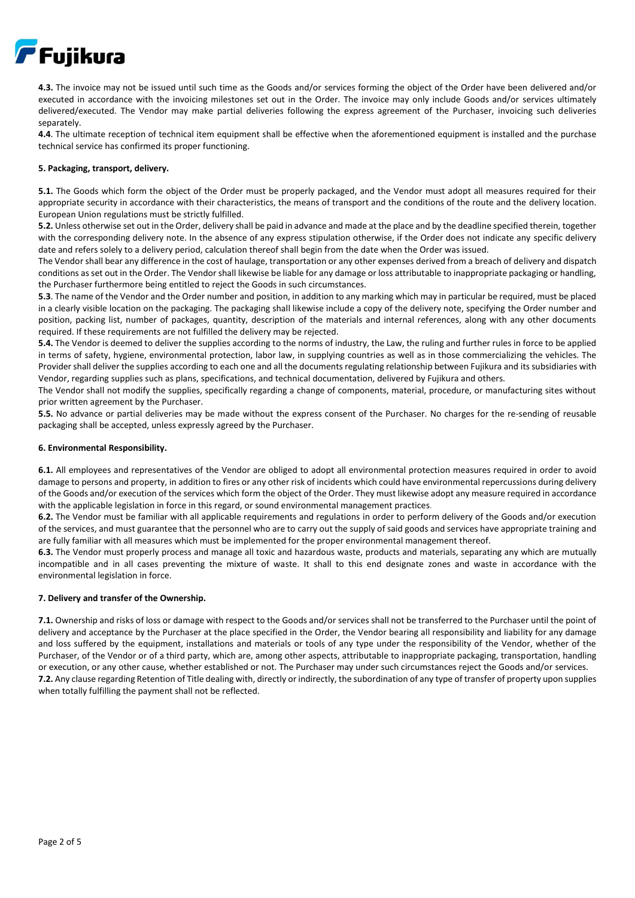

**4.3.** The invoice may not be issued until such time as the Goods and/or services forming the object of the Order have been delivered and/or executed in accordance with the invoicing milestones set out in the Order. The invoice may only include Goods and/or services ultimately delivered/executed. The Vendor may make partial deliveries following the express agreement of the Purchaser, invoicing such deliveries separately.

**4.4**. The ultimate reception of technical item equipment shall be effective when the aforementioned equipment is installed and the purchase technical service has confirmed its proper functioning.

## **5. Packaging, transport, delivery.**

**5.1.** The Goods which form the object of the Order must be properly packaged, and the Vendor must adopt all measures required for their appropriate security in accordance with their characteristics, the means of transport and the conditions of the route and the delivery location. European Union regulations must be strictly fulfilled.

**5.2.** Unless otherwise set out in the Order, delivery shall be paid in advance and made at the place and by the deadline specified therein, together with the corresponding delivery note. In the absence of any express stipulation otherwise, if the Order does not indicate any specific delivery date and refers solely to a delivery period, calculation thereof shall begin from the date when the Order was issued.

The Vendor shall bear any difference in the cost of haulage, transportation or any other expenses derived from a breach of delivery and dispatch conditions as set out in the Order. The Vendor shall likewise be liable for any damage or loss attributable to inappropriate packaging or handling, the Purchaser furthermore being entitled to reject the Goods in such circumstances.

**5.3**. The name of the Vendor and the Order number and position, in addition to any marking which may in particular be required, must be placed in a clearly visible location on the packaging. The packaging shall likewise include a copy of the delivery note, specifying the Order number and position, packing list, number of packages, quantity, description of the materials and internal references, along with any other documents required. If these requirements are not fulfilled the delivery may be rejected.

**5.4.** The Vendor is deemed to deliver the supplies according to the norms of industry, the Law, the ruling and further rules in force to be applied in terms of safety, hygiene, environmental protection, labor law, in supplying countries as well as in those commercializing the vehicles. The Provider shall deliver the supplies according to each one and all the documents regulating relationship between Fujikura and itssubsidiaries with Vendor, regarding supplies such as plans, specifications, and technical documentation, delivered by Fujikura and others.

The Vendor shall not modify the supplies, specifically regarding a change of components, material, procedure, or manufacturing sites without prior written agreement by the Purchaser.

**5.5.** No advance or partial deliveries may be made without the express consent of the Purchaser. No charges for the re-sending of reusable packaging shall be accepted, unless expressly agreed by the Purchaser.

## **6. Environmental Responsibility.**

**6.1.** All employees and representatives of the Vendor are obliged to adopt all environmental protection measures required in order to avoid damage to persons and property, in addition to fires or any other risk of incidents which could have environmental repercussions during delivery of the Goods and/or execution of the services which form the object of the Order. They must likewise adopt any measure required in accordance with the applicable legislation in force in this regard, or sound environmental management practices.

**6.2.** The Vendor must be familiar with all applicable requirements and regulations in order to perform delivery of the Goods and/or execution of the services, and must guarantee that the personnel who are to carry out the supply of said goods and services have appropriate training and are fully familiar with all measures which must be implemented for the proper environmental management thereof.

**6.3.** The Vendor must properly process and manage all toxic and hazardous waste, products and materials, separating any which are mutually incompatible and in all cases preventing the mixture of waste. It shall to this end designate zones and waste in accordance with the environmental legislation in force.

# **7. Delivery and transfer of the Ownership.**

**7.1.** Ownership and risks of loss or damage with respect to the Goods and/or services shall not be transferred to the Purchaser until the point of delivery and acceptance by the Purchaser at the place specified in the Order, the Vendor bearing all responsibility and liability for any damage and loss suffered by the equipment, installations and materials or tools of any type under the responsibility of the Vendor, whether of the Purchaser, of the Vendor or of a third party, which are, among other aspects, attributable to inappropriate packaging, transportation, handling or execution, or any other cause, whether established or not. The Purchaser may under such circumstances reject the Goods and/or services. **7.2.** Any clause regarding Retention of Title dealing with, directly or indirectly, the subordination of any type of transfer of property upon supplies when totally fulfilling the payment shall not be reflected.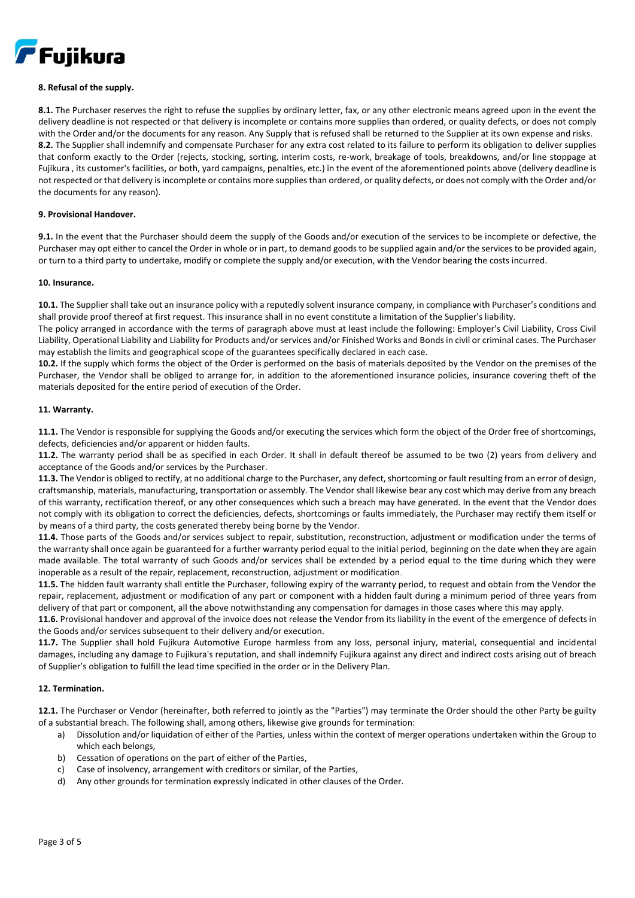

# **8. Refusal of the supply.**

**8.1.** The Purchaser reserves the right to refuse the supplies by ordinary letter, fax, or any other electronic means agreed upon in the event the delivery deadline is not respected or that delivery is incomplete or contains more supplies than ordered, or quality defects, or does not comply with the Order and/or the documents for any reason. Any Supply that is refused shall be returned to the Supplier at its own expense and risks. **8.2.** The Supplier shall indemnify and compensate Purchaser for any extra cost related to its failure to perform its obligation to deliver supplies that conform exactly to the Order (rejects, stocking, sorting, interim costs, re-work, breakage of tools, breakdowns, and/or line stoppage at Fujikura , its customer's facilities, or both, yard campaigns, penalties, etc.) in the event of the aforementioned points above (delivery deadline is not respected or that delivery is incomplete or contains more suppliesthan ordered, or quality defects, or does not comply with the Order and/or the documents for any reason).

#### **9. Provisional Handover.**

**9.1.** In the event that the Purchaser should deem the supply of the Goods and/or execution of the services to be incomplete or defective, the Purchaser may opt either to cancel the Order in whole or in part, to demand goods to be supplied again and/or the services to be provided again, or turn to a third party to undertake, modify or complete the supply and/or execution, with the Vendor bearing the costs incurred.

#### **10. Insurance.**

**10.1.** The Supplier shall take out an insurance policy with a reputedly solvent insurance company, in compliance with Purchaser's conditions and shall provide proof thereof at first request. This insurance shall in no event constitute a limitation of the Supplier's liability.

The policy arranged in accordance with the terms of paragraph above must at least include the following: Employer's Civil Liability, Cross Civil Liability, Operational Liability and Liability for Products and/or services and/or Finished Works and Bonds in civil or criminal cases. The Purchaser may establish the limits and geographical scope of the guarantees specifically declared in each case.

**10.2.** If the supply which forms the object of the Order is performed on the basis of materials deposited by the Vendor on the premises of the Purchaser, the Vendor shall be obliged to arrange for, in addition to the aforementioned insurance policies, insurance covering theft of the materials deposited for the entire period of execution of the Order.

#### **11. Warranty.**

**11.1.** The Vendor is responsible for supplying the Goods and/or executing the services which form the object of the Order free of shortcomings, defects, deficiencies and/or apparent or hidden faults.

**11.2.** The warranty period shall be as specified in each Order. It shall in default thereof be assumed to be two (2) years from delivery and acceptance of the Goods and/or services by the Purchaser.

**11.3.** The Vendor is obliged to rectify, at no additional charge to the Purchaser, any defect, shortcoming or fault resulting from an error of design, craftsmanship, materials, manufacturing, transportation or assembly. The Vendor shall likewise bear any cost which may derive from any breach of this warranty, rectification thereof, or any other consequences which such a breach may have generated. In the event that the Vendor does not comply with its obligation to correct the deficiencies, defects, shortcomings or faults immediately, the Purchaser may rectify them itself or by means of a third party, the costs generated thereby being borne by the Vendor.

**11.4.** Those parts of the Goods and/or services subject to repair, substitution, reconstruction, adjustment or modification under the terms of the warranty shall once again be guaranteed for a further warranty period equal to the initial period, beginning on the date when they are again made available. The total warranty of such Goods and/or services shall be extended by a period equal to the time during which they were inoperable as a result of the repair, replacement, reconstruction, adjustment or modification.

**11.5.** The hidden fault warranty shall entitle the Purchaser, following expiry of the warranty period, to request and obtain from the Vendor the repair, replacement, adjustment or modification of any part or component with a hidden fault during a minimum period of three years from delivery of that part or component, all the above notwithstanding any compensation for damages in those cases where this may apply.

**11.6.** Provisional handover and approval of the invoice does not release the Vendor from its liability in the event of the emergence of defects in the Goods and/or services subsequent to their delivery and/or execution.

**11.7.** The Supplier shall hold Fujikura Automotive Europe harmless from any loss, personal injury, material, consequential and incidental damages, including any damage to Fujikura's reputation, and shall indemnify Fujikura against any direct and indirect costs arising out of breach of Supplier's obligation to fulfill the lead time specified in the order or in the Delivery Plan.

# **12. Termination.**

**12.1.** The Purchaser or Vendor (hereinafter, both referred to jointly as the "Parties") may terminate the Order should the other Party be guilty of a substantial breach. The following shall, among others, likewise give grounds for termination:

- a) Dissolution and/or liquidation of either of the Parties, unless within the context of merger operations undertaken within the Group to which each belongs,
- b) Cessation of operations on the part of either of the Parties,
- c) Case of insolvency, arrangement with creditors or similar, of the Parties,
- d) Any other grounds for termination expressly indicated in other clauses of the Order.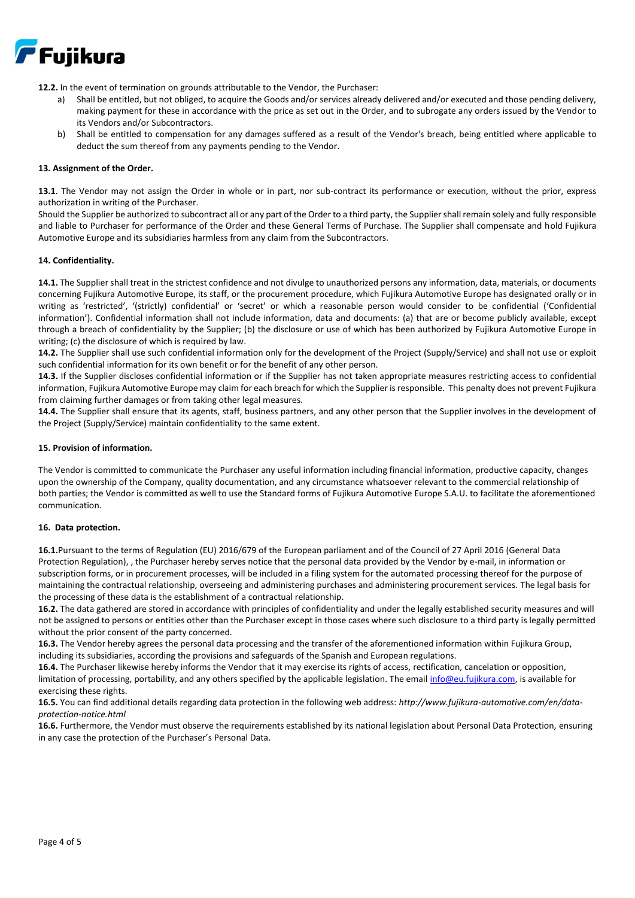

**12.2.** In the event of termination on grounds attributable to the Vendor, the Purchaser:

- a) Shall be entitled, but not obliged, to acquire the Goods and/or services already delivered and/or executed and those pending delivery, making payment for these in accordance with the price as set out in the Order, and to subrogate any orders issued by the Vendor to its Vendors and/or Subcontractors.
- b) Shall be entitled to compensation for any damages suffered as a result of the Vendor's breach, being entitled where applicable to deduct the sum thereof from any payments pending to the Vendor.

#### **13. Assignment of the Order.**

**13.1**. The Vendor may not assign the Order in whole or in part, nor sub-contract its performance or execution, without the prior, express authorization in writing of the Purchaser.

Should the Supplier be authorized to subcontract all or any part of the Order to a third party, the Supplier shall remain solely and fully responsible and liable to Purchaser for performance of the Order and these General Terms of Purchase. The Supplier shall compensate and hold Fujikura Automotive Europe and its subsidiaries harmless from any claim from the Subcontractors.

#### **14. Confidentiality.**

**14.1.** The Supplier shall treat in the strictest confidence and not divulge to unauthorized persons any information, data, materials, or documents concerning Fujikura Automotive Europe, its staff, or the procurement procedure, which Fujikura Automotive Europe has designated orally or in writing as 'restricted', '(strictly) confidential' or 'secret' or which a reasonable person would consider to be confidential ('Confidential information'). Confidential information shall not include information, data and documents: (a) that are or become publicly available, except through a breach of confidentiality by the Supplier; (b) the disclosure or use of which has been authorized by Fujikura Automotive Europe in writing; (c) the disclosure of which is required by law.

**14.2.** The Supplier shall use such confidential information only for the development of the Project (Supply/Service) and shall not use or exploit such confidential information for its own benefit or for the benefit of any other person.

**14.3.** If the Supplier discloses confidential information or if the Supplier has not taken appropriate measures restricting access to confidential information, Fujikura Automotive Europe may claim for each breach for which the Supplier is responsible. This penalty does not prevent Fujikura from claiming further damages or from taking other legal measures.

**14.4.** The Supplier shall ensure that its agents, staff, business partners, and any other person that the Supplier involves in the development of the Project (Supply/Service) maintain confidentiality to the same extent.

#### **15. Provision of information.**

The Vendor is committed to communicate the Purchaser any useful information including financial information, productive capacity, changes upon the ownership of the Company, quality documentation, and any circumstance whatsoever relevant to the commercial relationship of both parties; the Vendor is committed as well to use the Standard forms of Fujikura Automotive Europe S.A.U. to facilitate the aforementioned communication.

#### **16. Data protection.**

**16.1.**Pursuant to the terms of Regulation (EU) 2016/679 of the European parliament and of the Council of 27 April 2016 (General Data Protection Regulation), , the Purchaser hereby serves notice that the personal data provided by the Vendor by e-mail, in information or subscription forms, or in procurement processes, will be included in a filing system for the automated processing thereof for the purpose of maintaining the contractual relationship, overseeing and administering purchases and administering procurement services. The legal basis for the processing of these data is the establishment of a contractual relationship.

**16.2.** The data gathered are stored in accordance with principles of confidentiality and under the legally established security measures and will not be assigned to persons or entities other than the Purchaser except in those cases where such disclosure to a third party is legally permitted without the prior consent of the party concerned.

**16.3.** The Vendor hereby agrees the personal data processing and the transfer of the aforementioned information within Fujikura Group, including its subsidiaries, according the provisions and safeguards of the Spanish and European regulations.

**16.4.** The Purchaser likewise hereby informs the Vendor that it may exercise its rights of access, rectification, cancelation or opposition, limitation of processing, portability, and any others specified by the applicable legislation. The emai[l info@eu.fujikura.com,](mailto:info@eu.fujikura.com) is available for exercising these rights.

**16.5.** You can find additional details regarding data protection in the following web address: *http://www.fujikura-automotive.com/en/dataprotection-notice.html* 

16.6. Furthermore, the Vendor must observe the requirements established by its national legislation about Personal Data Protection, ensuring in any case the protection of the Purchaser's Personal Data.